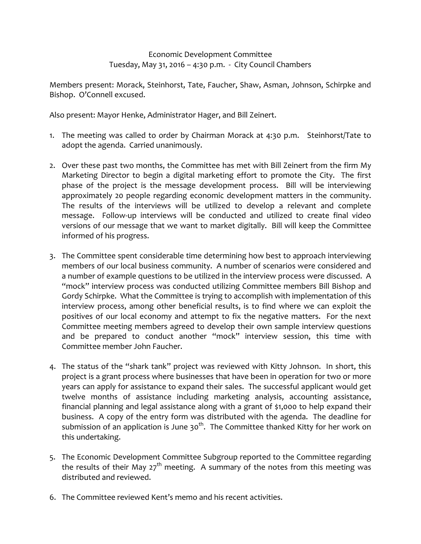Economic Development Committee Tuesday, May 31, 2016 – 4:30 p.m. - City Council Chambers

Members present: Morack, Steinhorst, Tate, Faucher, Shaw, Asman, Johnson, Schirpke and Bishop. O'Connell excused.

Also present: Mayor Henke, Administrator Hager, and Bill Zeinert.

- 1. The meeting was called to order by Chairman Morack at 4:30 p.m. Steinhorst/Tate to adopt the agenda. Carried unanimously.
- 2. Over these past two months, the Committee has met with Bill Zeinert from the firm My Marketing Director to begin a digital marketing effort to promote the City. The first phase of the project is the message development process. Bill will be interviewing approximately 20 people regarding economic development matters in the community. The results of the interviews will be utilized to develop a relevant and complete message. Follow-up interviews will be conducted and utilized to create final video versions of our message that we want to market digitally. Bill will keep the Committee informed of his progress.
- 3. The Committee spent considerable time determining how best to approach interviewing members of our local business community. A number of scenarios were considered and a number of example questions to be utilized in the interview process were discussed. A "mock" interview process was conducted utilizing Committee members Bill Bishop and Gordy Schirpke. What the Committee is trying to accomplish with implementation of this interview process, among other beneficial results, is to find where we can exploit the positives of our local economy and attempt to fix the negative matters. For the next Committee meeting members agreed to develop their own sample interview questions and be prepared to conduct another "mock" interview session, this time with Committee member John Faucher.
- 4. The status of the "shark tank" project was reviewed with Kitty Johnson. In short, this project is a grant process where businesses that have been in operation for two or more years can apply for assistance to expand their sales. The successful applicant would get twelve months of assistance including marketing analysis, accounting assistance, financial planning and legal assistance along with a grant of \$1,000 to help expand their business. A copy of the entry form was distributed with the agenda. The deadline for submission of an application is June 30<sup>th</sup>. The Committee thanked Kitty for her work on this undertaking.
- 5. The Economic Development Committee Subgroup reported to the Committee regarding the results of their May  $27<sup>th</sup>$  meeting. A summary of the notes from this meeting was distributed and reviewed.
- 6. The Committee reviewed Kent's memo and his recent activities.